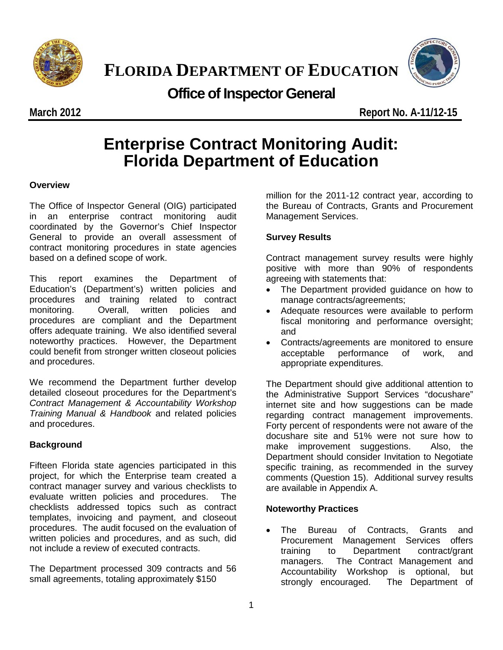

**FLORIDA DEPARTMENT OF EDUCATION**



## **Office of Inspector General**

**March 2012 Report No. A-11/12-15**

# **Enterprise Contract Monitoring Audit: Florida Department of Education**

#### **Overview**

The Office of Inspector General (OIG) participated in an enterprise contract monitoring audit coordinated by the Governor's Chief Inspector General to provide an overall assessment of contract monitoring procedures in state agencies based on a defined scope of work.

This report examines the Department of Education's (Department's) written policies and procedures and training related to contract monitoring. Overall, written policies and procedures are compliant and the Department offers adequate training. We also identified several noteworthy practices. However, the Department could benefit from stronger written closeout policies and procedures.

We recommend the Department further develop detailed closeout procedures for the Department's *Contract Management & Accountability Workshop Training Manual & Handbook* and related policies and procedures.

#### **Background**

Fifteen Florida state agencies participated in this project, for which the Enterprise team created a contract manager survey and various checklists to evaluate written policies and procedures. The checklists addressed topics such as contract templates, invoicing and payment, and closeout procedures. The audit focused on the evaluation of written policies and procedures, and as such, did not include a review of executed contracts.

The Department processed 309 contracts and 56 small agreements, totaling approximately \$150

million for the 2011-12 contract year, according to the Bureau of Contracts, Grants and Procurement Management Services.

#### **Survey Results**

Contract management survey results were highly positive with more than 90% of respondents agreeing with statements that:

- The Department provided guidance on how to manage contracts/agreements;
- Adequate resources were available to perform fiscal monitoring and performance oversight; and
- Contracts/agreements are monitored to ensure acceptable performance of work, and appropriate expenditures.

The Department should give additional attention to the Administrative Support Services "docushare" internet site and how suggestions can be made regarding contract management improvements. Forty percent of respondents were not aware of the docushare site and 51% were not sure how to make improvement suggestions. Also, the Department should consider Invitation to Negotiate specific training, as recommended in the survey comments (Question 15). Additional survey results are available in Appendix A.

#### **Noteworthy Practices**

• The Bureau of Contracts, Grants and Procurement Management Services offers training to Department contract/grant managers. The Contract Management and Accountability Workshop is optional, but strongly encouraged. The Department of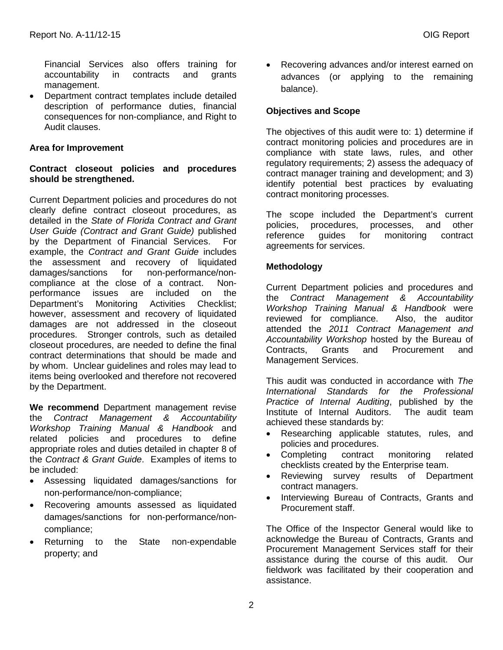Financial Services also offers training for accountability in contracts and grants management.

• Department contract templates include detailed description of performance duties, financial consequences for non-compliance, and Right to Audit clauses.

#### **Area for Improvement**

#### **Contract closeout policies and procedures should be strengthened.**

Current Department policies and procedures do not clearly define contract closeout procedures, as detailed in the *State of Florida Contract and Grant User Guide (Contract and Grant Guide)* published by the Department of Financial Services. For example, the *Contract and Grant Guide* includes the assessment and recovery of liquidated damages/sanctions for non-performance/noncompliance at the close of a contract. Nonperformance issues are included on the Department's Monitoring Activities Checklist; however, assessment and recovery of liquidated damages are not addressed in the closeout procedures. Stronger controls, such as detailed closeout procedures, are needed to define the final contract determinations that should be made and by whom. Unclear guidelines and roles may lead to items being overlooked and therefore not recovered by the Department.

**We recommend** Department management revise the *Contract Management & Accountability Workshop Training Manual & Handbook* and related policies and procedures to define appropriate roles and duties detailed in chapter 8 of the *Contract & Grant Guide*. Examples of items to be included:

- Assessing liquidated damages/sanctions for non-performance/non-compliance;
- Recovering amounts assessed as liquidated damages/sanctions for non-performance/noncompliance;
- Returning to the State non-expendable property; and

• Recovering advances and/or interest earned on advances (or applying to the remaining balance).

#### **Objectives and Scope**

The objectives of this audit were to: 1) determine if contract monitoring policies and procedures are in compliance with state laws, rules, and other regulatory requirements; 2) assess the adequacy of contract manager training and development; and 3) identify potential best practices by evaluating contract monitoring processes.

The scope included the Department's current policies, procedures, processes, and other reference guides for monitoring contract agreements for services.

### **Methodology**

Current Department policies and procedures and the *Contract Management & Accountability Workshop Training Manual & Handbook* were reviewed for compliance. Also, the auditor attended the *2011 Contract Management and Accountability Workshop* hosted by the Bureau of Contracts, Grants and Procurement and Management Services.

This audit was conducted in accordance with *The International Standards for the Professional Practice of Internal Auditing*, published by the Institute of Internal Auditors. achieved these standards by:

- Researching applicable statutes, rules, and policies and procedures.
- Completing contract monitoring related checklists created by the Enterprise team.
- Reviewing survey results of Department contract managers.
- Interviewing Bureau of Contracts, Grants and Procurement staff.

The Office of the Inspector General would like to acknowledge the Bureau of Contracts, Grants and Procurement Management Services staff for their assistance during the course of this audit. Our fieldwork was facilitated by their cooperation and assistance.